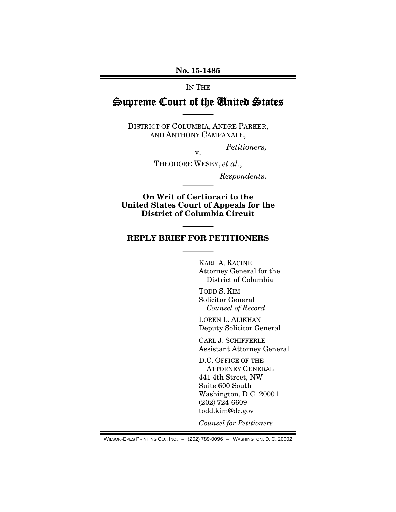### No. 15-1485

#### IN THE

# Supreme Court of the United States ————

DISTRICT OF COLUMBIA, ANDRE PARKER, AND ANTHONY CAMPANALE,

*Petitioners,* 

v. THEODORE WESBY, *et al*.,

————

*Respondents.* 

On Writ of Certiorari to the United States Court of Appeals for the District of Columbia Circuit

#### REPLY BRIEF FOR PETITIONERS

————

————

 KARL A. RACINE Attorney General for the District of Columbia

TODD S. KIM Solicitor General *Counsel of Record* 

LOREN L. ALIKHAN Deputy Solicitor General

CARL J. SCHIFFERLE Assistant Attorney General

D.C. OFFICE OF THE ATTORNEY GENERAL 441 4th Street, NW Suite 600 South Washington, D.C. 20001 (202) 724-6609 todd.kim@dc.gov

*Counsel for Petitioners*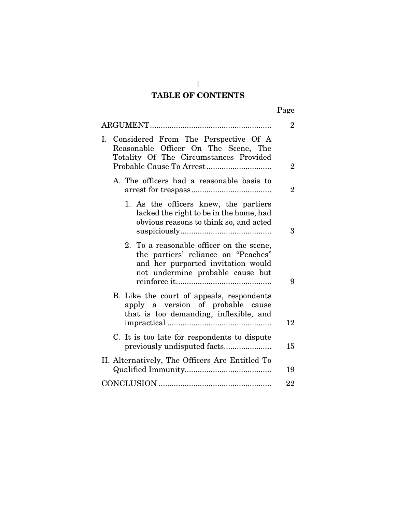# TABLE OF CONTENTS

| о<br>ч<br>L |
|-------------|
|-------------|

|                                                                                                                                                           | $\overline{2}$ |
|-----------------------------------------------------------------------------------------------------------------------------------------------------------|----------------|
| I. Considered From The Perspective Of A<br>Reasonable Officer On The Scene, The<br>Totality Of The Circumstances Provided                                 | $\overline{2}$ |
| A. The officers had a reasonable basis to                                                                                                                 | $\overline{2}$ |
| 1. As the officers knew, the partiers<br>lacked the right to be in the home, had<br>obvious reasons to think so, and acted                                | 3              |
| 2. To a reasonable officer on the scene,<br>the partiers' reliance on "Peaches"<br>and her purported invitation would<br>not undermine probable cause but | 9              |
| B. Like the court of appeals, respondents<br>apply a version of probable cause<br>that is too demanding, inflexible, and                                  | 12             |
| C. It is too late for respondents to dispute                                                                                                              | 15             |
| II. Alternatively, The Officers Are Entitled To                                                                                                           | 19             |
|                                                                                                                                                           | 22             |

i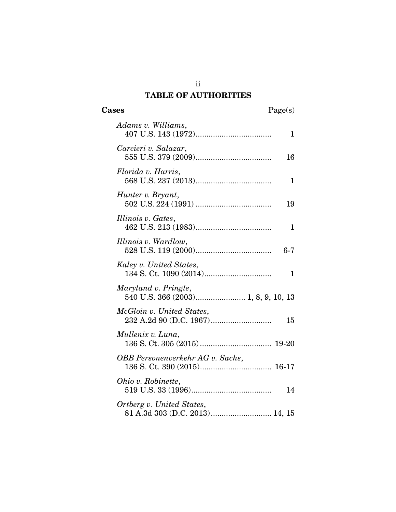# ii TABLE OF AUTHORITIES

| Adams v. Williams,                                          | 1            |
|-------------------------------------------------------------|--------------|
| Carcieri v. Salazar,                                        | 16           |
| Florida v. Harris,                                          | $\mathbf{1}$ |
| Hunter v. Bryant,                                           | 19           |
| Illinois v. Gates,                                          | 1            |
| Illinois v. Wardlow,                                        | $6-7$        |
| Kaley v. United States,                                     | 1            |
| Maryland v. Pringle,<br>540 U.S. 366 (2003) 1, 8, 9, 10, 13 |              |
| McGloin v. United States,                                   | 15           |
| Mullenix v. Luna,                                           |              |
| OBB Personenverkehr AG v. Sachs,                            |              |
| Ohio v. Robinette,                                          | 14           |
| Ortberg v. United States,<br>81 A.3d 303 (D.C. 2013) 14, 15 |              |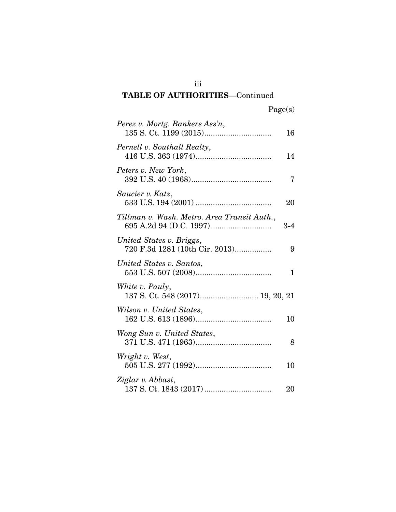# iii TABLE OF AUTHORITIES—Continued

|  | Page(s) |
|--|---------|
|  |         |

| Perez v. Mortg. Bankers Ass'n,                             | 16    |
|------------------------------------------------------------|-------|
| Pernell v. Southall Realty,                                | 14    |
| Peters v. New York,                                        | 7     |
| Saucier v. Katz,                                           | 20    |
| Tillman v. Wash. Metro. Area Transit Auth.,                | $3-4$ |
| United States v. Briggs,<br>720 F.3d 1281 (10th Cir. 2013) | 9     |
| United States v. Santos,                                   | 1     |
| White v. Pauly,                                            |       |
| Wilson v. United States,                                   | 10    |
| Wong Sun v. United States,                                 | 8     |
| Wright v. West,                                            | 10    |
| Ziglar v. Abbasi,                                          | 20    |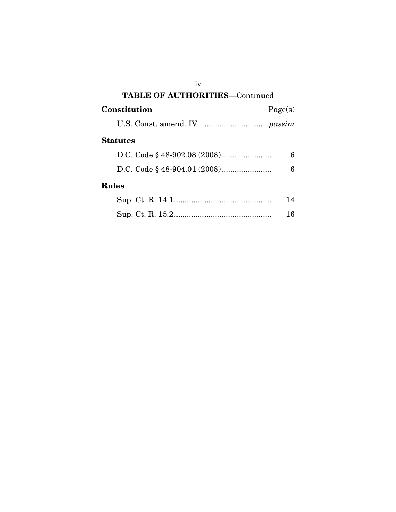| iv                                    |         |  |
|---------------------------------------|---------|--|
| <b>TABLE OF AUTHORITIES-Continued</b> |         |  |
| Constitution                          | Page(s) |  |
|                                       |         |  |
| Statutes                              |         |  |
|                                       | 6       |  |
|                                       | 6       |  |
| Rules                                 |         |  |
|                                       | 14      |  |
|                                       | 16      |  |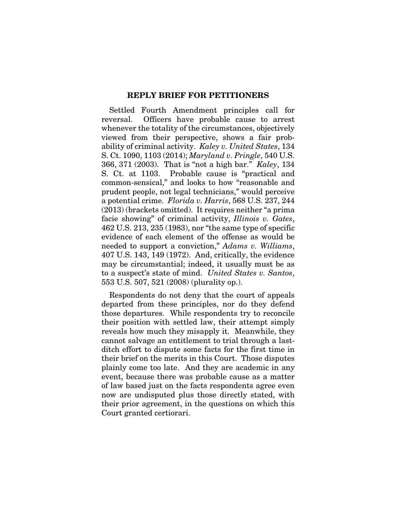#### REPLY BRIEF FOR PETITIONERS

Settled Fourth Amendment principles call for reversal. Officers have probable cause to arrest whenever the totality of the circumstances, objectively viewed from their perspective, shows a fair probability of criminal activity. *Kaley v. United States*, 134 S. Ct. 1090, 1103 (2014); *Maryland v. Pringle*, 540 U.S. 366, 371 (2003). That is "not a high bar." *Kaley*, 134 S. Ct. at 1103. Probable cause is "practical and common-sensical," and looks to how "reasonable and prudent people, not legal technicians," would perceive a potential crime. *Florida v. Harris*, 568 U.S. 237, 244 (2013) (brackets omitted). It requires neither "a prima facie showing" of criminal activity, *Illinois v. Gates*, 462 U.S. 213, 235 (1983), nor "the same type of specific evidence of each element of the offense as would be needed to support a conviction," *Adams v. Williams*, 407 U.S. 143, 149 (1972). And, critically, the evidence may be circumstantial; indeed, it usually must be as to a suspect's state of mind. *United States v. Santos*, 553 U.S. 507, 521 (2008) (plurality op.).

Respondents do not deny that the court of appeals departed from these principles, nor do they defend those departures. While respondents try to reconcile their position with settled law, their attempt simply reveals how much they misapply it. Meanwhile, they cannot salvage an entitlement to trial through a lastditch effort to dispute some facts for the first time in their brief on the merits in this Court. Those disputes plainly come too late. And they are academic in any event, because there was probable cause as a matter of law based just on the facts respondents agree even now are undisputed plus those directly stated, with their prior agreement, in the questions on which this Court granted certiorari.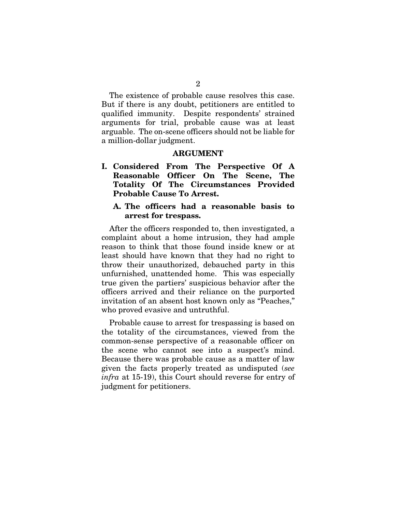The existence of probable cause resolves this case. But if there is any doubt, petitioners are entitled to qualified immunity. Despite respondents' strained arguments for trial, probable cause was at least arguable. The on-scene officers should not be liable for a million-dollar judgment.

#### ARGUMENT

I. Considered From The Perspective Of A Reasonable Officer On The Scene, The Totality Of The Circumstances Provided Probable Cause To Arrest.

## A. The officers had a reasonable basis to arrest for trespass.

After the officers responded to, then investigated, a complaint about a home intrusion, they had ample reason to think that those found inside knew or at least should have known that they had no right to throw their unauthorized, debauched party in this unfurnished, unattended home. This was especially true given the partiers' suspicious behavior after the officers arrived and their reliance on the purported invitation of an absent host known only as "Peaches," who proved evasive and untruthful.

Probable cause to arrest for trespassing is based on the totality of the circumstances, viewed from the common-sense perspective of a reasonable officer on the scene who cannot see into a suspect's mind. Because there was probable cause as a matter of law given the facts properly treated as undisputed (*see infra* at 15-19), this Court should reverse for entry of judgment for petitioners.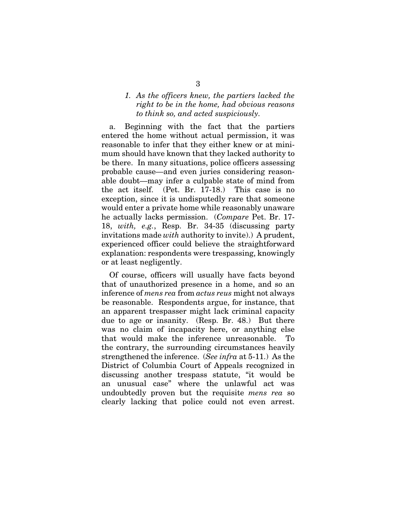# *1. As the officers knew, the partiers lacked the right to be in the home, had obvious reasons to think so, and acted suspiciously.*

a. Beginning with the fact that the partiers entered the home without actual permission, it was reasonable to infer that they either knew or at minimum should have known that they lacked authority to be there. In many situations, police officers assessing probable cause—and even juries considering reasonable doubt—may infer a culpable state of mind from the act itself. (Pet. Br. 17-18.) This case is no exception, since it is undisputedly rare that someone would enter a private home while reasonably unaware he actually lacks permission. (*Compare* Pet. Br. 17- 18, *with, e.g.*, Resp. Br. 34-35 (discussing party invitations made *with* authority to invite).) A prudent, experienced officer could believe the straightforward explanation: respondents were trespassing, knowingly or at least negligently.

Of course, officers will usually have facts beyond that of unauthorized presence in a home, and so an inference of *mens rea* from *actus reus* might not always be reasonable. Respondents argue, for instance, that an apparent trespasser might lack criminal capacity due to age or insanity. (Resp. Br. 48.) But there was no claim of incapacity here, or anything else that would make the inference unreasonable. To the contrary, the surrounding circumstances heavily strengthened the inference. (*See infra* at 5-11.) As the District of Columbia Court of Appeals recognized in discussing another trespass statute, "it would be an unusual case" where the unlawful act was undoubtedly proven but the requisite *mens rea* so clearly lacking that police could not even arrest.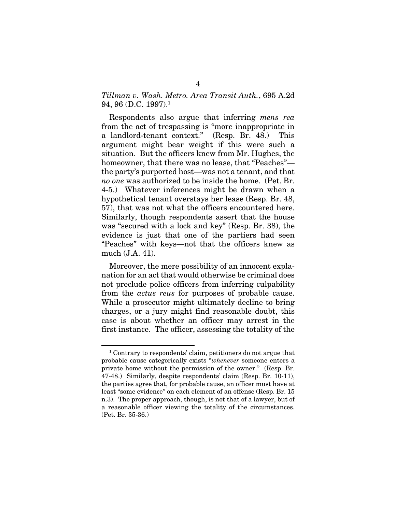# *Tillman v. Wash. Metro. Area Transit Auth.*, 695 A.2d 94, 96 (D.C. 1997).1

Respondents also argue that inferring *mens rea* from the act of trespassing is "more inappropriate in a landlord-tenant context." (Resp. Br. 48.) This argument might bear weight if this were such a situation. But the officers knew from Mr. Hughes, the homeowner, that there was no lease, that "Peaches" the party's purported host—was not a tenant, and that *no one* was authorized to be inside the home. (Pet. Br. 4-5.) Whatever inferences might be drawn when a hypothetical tenant overstays her lease (Resp. Br. 48, 57), that was not what the officers encountered here. Similarly, though respondents assert that the house was "secured with a lock and key" (Resp. Br. 38), the evidence is just that one of the partiers had seen "Peaches" with keys—not that the officers knew as much (J.A. 41).

Moreover, the mere possibility of an innocent explanation for an act that would otherwise be criminal does not preclude police officers from inferring culpability from the *actus reus* for purposes of probable cause. While a prosecutor might ultimately decline to bring charges, or a jury might find reasonable doubt, this case is about whether an officer may arrest in the first instance. The officer, assessing the totality of the

<sup>1</sup> Contrary to respondents' claim, petitioners do not argue that probable cause categorically exists "*whenever* someone enters a private home without the permission of the owner." (Resp. Br. 47-48.) Similarly, despite respondents' claim (Resp. Br. 10-11), the parties agree that, for probable cause, an officer must have at least "some evidence" on each element of an offense (Resp. Br. 15 n.3). The proper approach, though, is not that of a lawyer, but of a reasonable officer viewing the totality of the circumstances. (Pet. Br. 35-36.)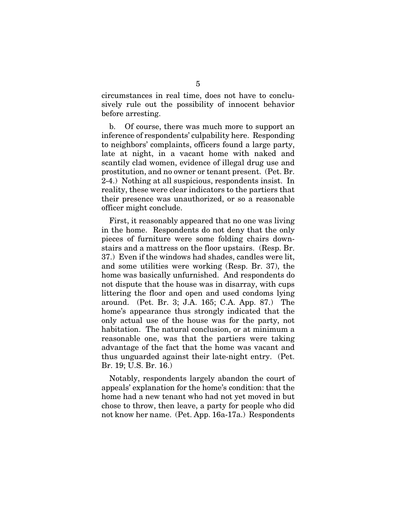circumstances in real time, does not have to conclusively rule out the possibility of innocent behavior before arresting.

b. Of course, there was much more to support an inference of respondents' culpability here. Responding to neighbors' complaints, officers found a large party, late at night, in a vacant home with naked and scantily clad women, evidence of illegal drug use and prostitution, and no owner or tenant present. (Pet. Br. 2-4.) Nothing at all suspicious, respondents insist. In reality, these were clear indicators to the partiers that their presence was unauthorized, or so a reasonable officer might conclude.

First, it reasonably appeared that no one was living in the home. Respondents do not deny that the only pieces of furniture were some folding chairs downstairs and a mattress on the floor upstairs. (Resp. Br. 37.) Even if the windows had shades, candles were lit, and some utilities were working (Resp. Br. 37), the home was basically unfurnished. And respondents do not dispute that the house was in disarray, with cups littering the floor and open and used condoms lying around. (Pet. Br. 3; J.A. 165; C.A. App. 87.) The home's appearance thus strongly indicated that the only actual use of the house was for the party, not habitation. The natural conclusion, or at minimum a reasonable one, was that the partiers were taking advantage of the fact that the home was vacant and thus unguarded against their late-night entry. (Pet. Br. 19; U.S. Br. 16.)

Notably, respondents largely abandon the court of appeals' explanation for the home's condition: that the home had a new tenant who had not yet moved in but chose to throw, then leave, a party for people who did not know her name. (Pet. App. 16a-17a.) Respondents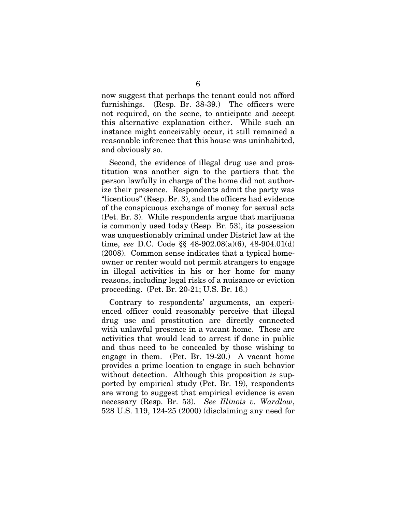now suggest that perhaps the tenant could not afford furnishings. (Resp. Br. 38-39.) The officers were not required, on the scene, to anticipate and accept this alternative explanation either. While such an instance might conceivably occur, it still remained a reasonable inference that this house was uninhabited, and obviously so.

Second, the evidence of illegal drug use and prostitution was another sign to the partiers that the person lawfully in charge of the home did not authorize their presence. Respondents admit the party was "licentious" (Resp. Br. 3), and the officers had evidence of the conspicuous exchange of money for sexual acts (Pet. Br. 3). While respondents argue that marijuana is commonly used today (Resp. Br. 53), its possession was unquestionably criminal under District law at the time, *see* D.C. Code §§ 48-902.08(a)(6), 48-904.01(d) (2008). Common sense indicates that a typical homeowner or renter would not permit strangers to engage in illegal activities in his or her home for many reasons, including legal risks of a nuisance or eviction proceeding. (Pet. Br. 20-21; U.S. Br. 16.)

Contrary to respondents' arguments, an experienced officer could reasonably perceive that illegal drug use and prostitution are directly connected with unlawful presence in a vacant home. These are activities that would lead to arrest if done in public and thus need to be concealed by those wishing to engage in them. (Pet. Br. 19-20.) A vacant home provides a prime location to engage in such behavior without detection. Although this proposition *is* supported by empirical study (Pet. Br. 19), respondents are wrong to suggest that empirical evidence is even necessary (Resp. Br. 53). *See Illinois v. Wardlow*, 528 U.S. 119, 124-25 (2000) (disclaiming any need for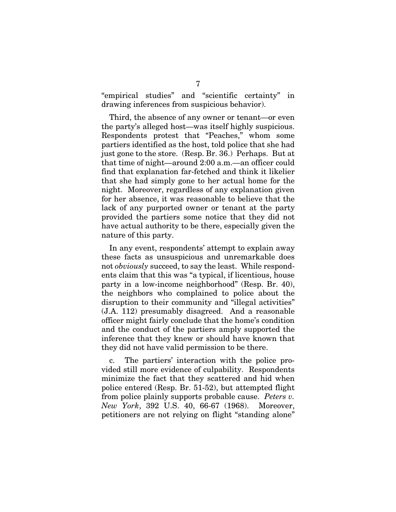"empirical studies" and "scientific certainty" in drawing inferences from suspicious behavior).

Third, the absence of any owner or tenant—or even the party's alleged host—was itself highly suspicious. Respondents protest that "Peaches," whom some partiers identified as the host, told police that she had just gone to the store. (Resp. Br. 36.) Perhaps. But at that time of night—around 2:00 a.m.—an officer could find that explanation far-fetched and think it likelier that she had simply gone to her actual home for the night. Moreover, regardless of any explanation given for her absence, it was reasonable to believe that the lack of any purported owner or tenant at the party provided the partiers some notice that they did not have actual authority to be there, especially given the nature of this party.

In any event, respondents' attempt to explain away these facts as unsuspicious and unremarkable does not *obviously* succeed, to say the least. While respondents claim that this was "a typical, if licentious, house party in a low-income neighborhood" (Resp. Br. 40), the neighbors who complained to police about the disruption to their community and "illegal activities" (J.A. 112) presumably disagreed. And a reasonable officer might fairly conclude that the home's condition and the conduct of the partiers amply supported the inference that they knew or should have known that they did not have valid permission to be there.

c. The partiers' interaction with the police provided still more evidence of culpability. Respondents minimize the fact that they scattered and hid when police entered (Resp. Br. 51-52), but attempted flight from police plainly supports probable cause. *Peters v. New York*, 392 U.S. 40, 66-67 (1968). Moreover, petitioners are not relying on flight "standing alone"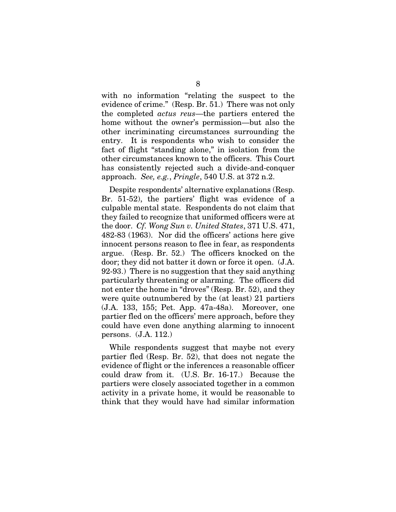with no information "relating the suspect to the evidence of crime." (Resp. Br. 51.) There was not only the completed *actus reus*—the partiers entered the home without the owner's permission—but also the other incriminating circumstances surrounding the entry. It is respondents who wish to consider the fact of flight "standing alone," in isolation from the other circumstances known to the officers. This Court has consistently rejected such a divide-and-conquer approach. *See, e.g.*, *Pringle*, 540 U.S. at 372 n.2.

Despite respondents' alternative explanations (Resp. Br. 51-52), the partiers' flight was evidence of a culpable mental state. Respondents do not claim that they failed to recognize that uniformed officers were at the door. *Cf. Wong Sun v. United States*, 371 U.S. 471, 482-83 (1963). Nor did the officers' actions here give innocent persons reason to flee in fear, as respondents argue. (Resp. Br. 52.) The officers knocked on the door; they did not batter it down or force it open. (J.A. 92-93.) There is no suggestion that they said anything particularly threatening or alarming. The officers did not enter the home in "droves" (Resp. Br. 52), and they were quite outnumbered by the (at least) 21 partiers (J.A. 133, 155; Pet. App. 47a-48a). Moreover, one partier fled on the officers' mere approach, before they could have even done anything alarming to innocent persons. (J.A. 112.)

While respondents suggest that maybe not every partier fled (Resp. Br. 52), that does not negate the evidence of flight or the inferences a reasonable officer could draw from it. (U.S. Br. 16-17.) Because the partiers were closely associated together in a common activity in a private home, it would be reasonable to think that they would have had similar information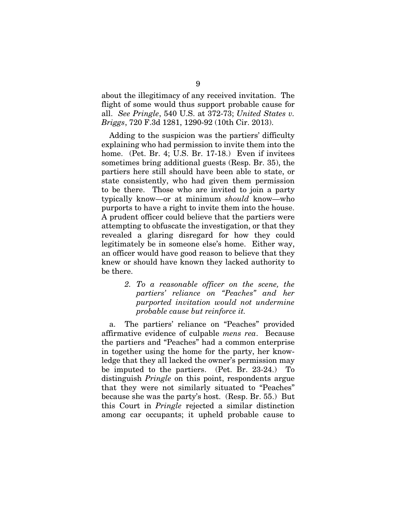about the illegitimacy of any received invitation. The flight of some would thus support probable cause for all. *See Pringle*, 540 U.S. at 372-73; *United States v. Briggs*, 720 F.3d 1281, 1290-92 (10th Cir. 2013).

Adding to the suspicion was the partiers' difficulty explaining who had permission to invite them into the home. (Pet. Br. 4; U.S. Br. 17-18.) Even if invitees sometimes bring additional guests (Resp. Br. 35), the partiers here still should have been able to state, or state consistently, who had given them permission to be there. Those who are invited to join a party typically know—or at minimum *should* know—who purports to have a right to invite them into the house. A prudent officer could believe that the partiers were attempting to obfuscate the investigation, or that they revealed a glaring disregard for how they could legitimately be in someone else's home. Either way, an officer would have good reason to believe that they knew or should have known they lacked authority to be there.

> *2. To a reasonable officer on the scene, the partiers' reliance on "Peaches" and her purported invitation would not undermine probable cause but reinforce it.*

a. The partiers' reliance on "Peaches" provided affirmative evidence of culpable *mens rea*. Because the partiers and "Peaches" had a common enterprise in together using the home for the party, her knowledge that they all lacked the owner's permission may be imputed to the partiers. (Pet. Br. 23-24.) To distinguish *Pringle* on this point, respondents argue that they were not similarly situated to "Peaches" because she was the party's host. (Resp. Br. 55.) But this Court in *Pringle* rejected a similar distinction among car occupants; it upheld probable cause to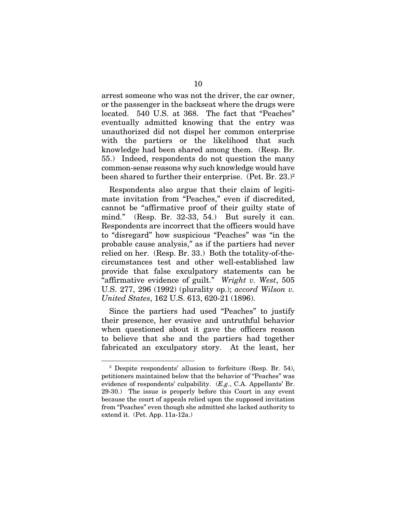arrest someone who was not the driver, the car owner, or the passenger in the backseat where the drugs were located. 540 U.S. at 368. The fact that "Peaches" eventually admitted knowing that the entry was unauthorized did not dispel her common enterprise with the partiers or the likelihood that such knowledge had been shared among them. (Resp. Br. 55.) Indeed, respondents do not question the many common-sense reasons why such knowledge would have been shared to further their enterprise. (Pet. Br. 23.)<sup>2</sup>

Respondents also argue that their claim of legitimate invitation from "Peaches," even if discredited, cannot be "affirmative proof of their guilty state of mind." (Resp. Br. 32-33, 54.) But surely it can. Respondents are incorrect that the officers would have to "disregard" how suspicious "Peaches" was "in the probable cause analysis," as if the partiers had never relied on her. (Resp. Br. 33.) Both the totality-of-thecircumstances test and other well-established law provide that false exculpatory statements can be "affirmative evidence of guilt." *Wright v. West*, 505 U.S. 277, 296 (1992) (plurality op.); *accord Wilson v. United States*, 162 U.S. 613, 620-21 (1896).

Since the partiers had used "Peaches" to justify their presence, her evasive and untruthful behavior when questioned about it gave the officers reason to believe that she and the partiers had together fabricated an exculpatory story. At the least, her

<sup>2</sup> Despite respondents' allusion to forfeiture (Resp. Br. 54), petitioners maintained below that the behavior of "Peaches" was evidence of respondents' culpability. (*E.g*., C.A. Appellants' Br. 29-30.) The issue is properly before this Court in any event because the court of appeals relied upon the supposed invitation from "Peaches" even though she admitted she lacked authority to extend it. (Pet. App. 11a-12a.)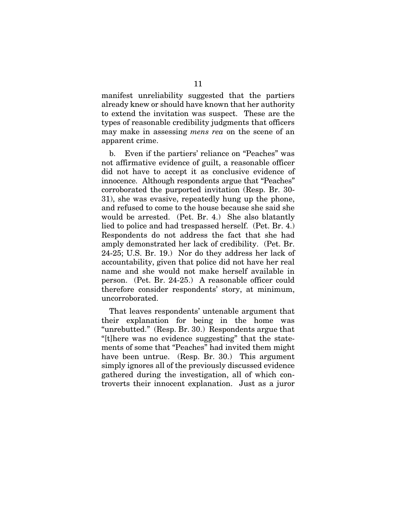manifest unreliability suggested that the partiers already knew or should have known that her authority to extend the invitation was suspect. These are the types of reasonable credibility judgments that officers may make in assessing *mens rea* on the scene of an apparent crime.

b. Even if the partiers' reliance on "Peaches" was not affirmative evidence of guilt, a reasonable officer did not have to accept it as conclusive evidence of innocence. Although respondents argue that "Peaches" corroborated the purported invitation (Resp. Br. 30- 31), she was evasive, repeatedly hung up the phone, and refused to come to the house because she said she would be arrested. (Pet. Br. 4.) She also blatantly lied to police and had trespassed herself. (Pet. Br. 4.) Respondents do not address the fact that she had amply demonstrated her lack of credibility. (Pet. Br. 24-25; U.S. Br. 19.) Nor do they address her lack of accountability, given that police did not have her real name and she would not make herself available in person. (Pet. Br. 24-25.) A reasonable officer could therefore consider respondents' story, at minimum, uncorroborated.

That leaves respondents' untenable argument that their explanation for being in the home was "unrebutted." (Resp. Br. 30.) Respondents argue that "[t]here was no evidence suggesting" that the statements of some that "Peaches" had invited them might have been untrue. (Resp. Br. 30.) This argument simply ignores all of the previously discussed evidence gathered during the investigation, all of which controverts their innocent explanation. Just as a juror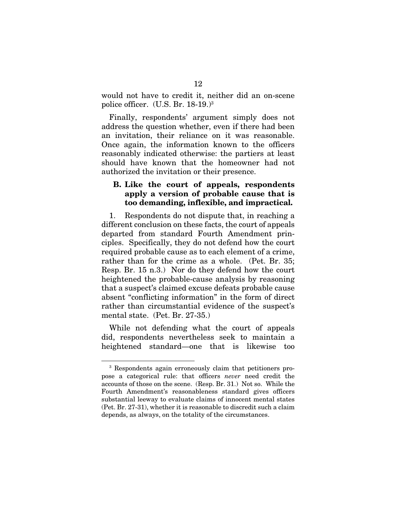would not have to credit it, neither did an on-scene police officer. (U.S. Br. 18-19.)3

Finally, respondents' argument simply does not address the question whether, even if there had been an invitation, their reliance on it was reasonable. Once again, the information known to the officers reasonably indicated otherwise: the partiers at least should have known that the homeowner had not authorized the invitation or their presence.

# B. Like the court of appeals, respondents apply a version of probable cause that is too demanding, inflexible, and impractical.

1. Respondents do not dispute that, in reaching a different conclusion on these facts, the court of appeals departed from standard Fourth Amendment principles. Specifically, they do not defend how the court required probable cause as to each element of a crime, rather than for the crime as a whole. (Pet. Br. 35; Resp. Br. 15 n.3.) Nor do they defend how the court heightened the probable-cause analysis by reasoning that a suspect's claimed excuse defeats probable cause absent "conflicting information" in the form of direct rather than circumstantial evidence of the suspect's mental state. (Pet. Br. 27-35.)

While not defending what the court of appeals did, respondents nevertheless seek to maintain a heightened standard—one that is likewise too

<sup>3</sup> Respondents again erroneously claim that petitioners propose a categorical rule: that officers *never* need credit the accounts of those on the scene. (Resp. Br. 31.) Not so. While the Fourth Amendment's reasonableness standard gives officers substantial leeway to evaluate claims of innocent mental states (Pet. Br. 27-31), whether it is reasonable to discredit such a claim depends, as always, on the totality of the circumstances.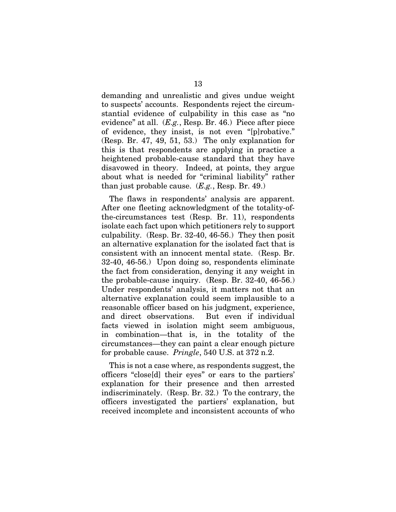demanding and unrealistic and gives undue weight to suspects' accounts. Respondents reject the circumstantial evidence of culpability in this case as "no evidence" at all. (*E.g.*, Resp. Br. 46.) Piece after piece of evidence, they insist, is not even "[p]robative." (Resp. Br. 47, 49, 51, 53.) The only explanation for this is that respondents are applying in practice a heightened probable-cause standard that they have disavowed in theory. Indeed, at points, they argue about what is needed for "criminal liability" rather than just probable cause. (*E.g.*, Resp. Br. 49.)

The flaws in respondents' analysis are apparent. After one fleeting acknowledgment of the totality-ofthe-circumstances test (Resp. Br. 11), respondents isolate each fact upon which petitioners rely to support culpability. (Resp. Br. 32-40, 46-56.) They then posit an alternative explanation for the isolated fact that is consistent with an innocent mental state. (Resp. Br. 32-40, 46-56.) Upon doing so, respondents eliminate the fact from consideration, denying it any weight in the probable-cause inquiry. (Resp. Br. 32-40, 46-56.) Under respondents' analysis, it matters not that an alternative explanation could seem implausible to a reasonable officer based on his judgment, experience, and direct observations. But even if individual facts viewed in isolation might seem ambiguous, in combination—that is, in the totality of the circumstances—they can paint a clear enough picture for probable cause. *Pringle*, 540 U.S. at 372 n.2.

This is not a case where, as respondents suggest, the officers "close[d] their eyes" or ears to the partiers' explanation for their presence and then arrested indiscriminately. (Resp. Br. 32.) To the contrary, the officers investigated the partiers' explanation, but received incomplete and inconsistent accounts of who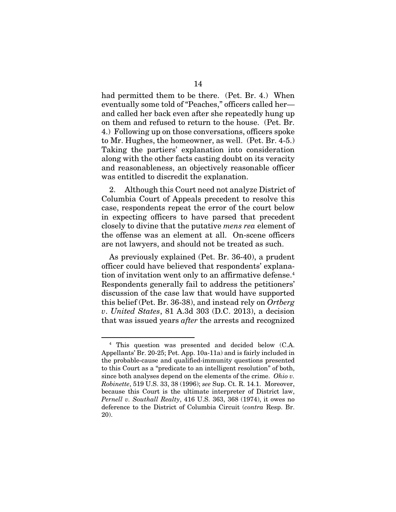had permitted them to be there. (Pet. Br. 4.) When eventually some told of "Peaches," officers called her and called her back even after she repeatedly hung up on them and refused to return to the house. (Pet. Br. 4.) Following up on those conversations, officers spoke to Mr. Hughes, the homeowner, as well. (Pet. Br. 4-5.) Taking the partiers' explanation into consideration along with the other facts casting doubt on its veracity and reasonableness, an objectively reasonable officer was entitled to discredit the explanation.

2. Although this Court need not analyze District of Columbia Court of Appeals precedent to resolve this case, respondents repeat the error of the court below in expecting officers to have parsed that precedent closely to divine that the putative *mens rea* element of the offense was an element at all. On-scene officers are not lawyers, and should not be treated as such.

As previously explained (Pet. Br. 36-40), a prudent officer could have believed that respondents' explanation of invitation went only to an affirmative defense.<sup>4</sup> Respondents generally fail to address the petitioners' discussion of the case law that would have supported this belief (Pet. Br. 36-38), and instead rely on *Ortberg v*. *United States*, 81 A.3d 303 (D.C. 2013), a decision that was issued years *after* the arrests and recognized

<sup>4</sup> This question was presented and decided below (C.A. Appellants' Br. 20-25; Pet. App. 10a-11a) and is fairly included in the probable-cause and qualified-immunity questions presented to this Court as a "predicate to an intelligent resolution" of both, since both analyses depend on the elements of the crime. *Ohio v. Robinette*, 519 U.S. 33, 38 (1996); *see* Sup. Ct. R. 14.1. Moreover, because this Court is the ultimate interpreter of District law, *Pernell v. Southall Realty*, 416 U.S. 363, 368 (1974), it owes no deference to the District of Columbia Circuit (*contra* Resp. Br. 20).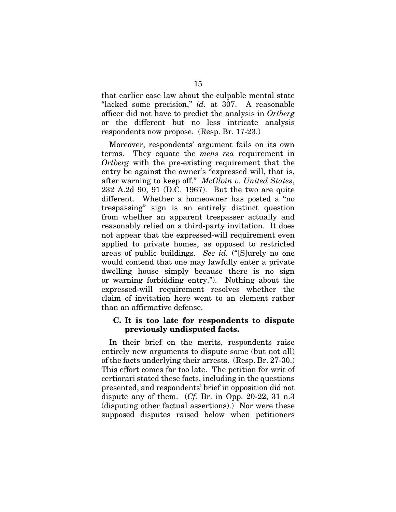that earlier case law about the culpable mental state "lacked some precision," *id.* at 307. A reasonable officer did not have to predict the analysis in *Ortberg* or the different but no less intricate analysis respondents now propose. (Resp. Br. 17-23.)

Moreover, respondents' argument fails on its own terms. They equate the *mens rea* requirement in *Ortberg* with the pre-existing requirement that the entry be against the owner's "expressed will, that is, after warning to keep off." *McGloin v. United States*, 232 A.2d 90, 91 (D.C. 1967). But the two are quite different. Whether a homeowner has posted a "no trespassing" sign is an entirely distinct question from whether an apparent trespasser actually and reasonably relied on a third-party invitation. It does not appear that the expressed-will requirement even applied to private homes, as opposed to restricted areas of public buildings. *See id.* ("[S]urely no one would contend that one may lawfully enter a private dwelling house simply because there is no sign or warning forbidding entry."). Nothing about the expressed-will requirement resolves whether the claim of invitation here went to an element rather than an affirmative defense.

## C. It is too late for respondents to dispute previously undisputed facts.

In their brief on the merits, respondents raise entirely new arguments to dispute some (but not all) of the facts underlying their arrests. (Resp. Br. 27-30.) This effort comes far too late. The petition for writ of certiorari stated these facts, including in the questions presented, and respondents' brief in opposition did not dispute any of them. (*Cf.* Br. in Opp. 20-22, 31 n.3 (disputing other factual assertions).) Nor were these supposed disputes raised below when petitioners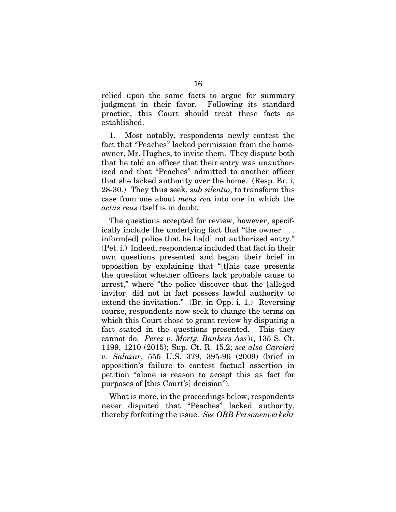relied upon the same facts to argue for summary judgment in their favor. Following its standard practice, this Court should treat these facts as established.

1. Most notably, respondents newly contest the fact that "Peaches" lacked permission from the homeowner, Mr. Hughes, to invite them. They dispute both that he told an officer that their entry was unauthorized and that "Peaches" admitted to another officer that she lacked authority over the home. (Resp. Br. i, 28-30.) They thus seek, *sub silentio*, to transform this case from one about *mens rea* into one in which the *actus reus* itself is in doubt.

The questions accepted for review, however, specifically include the underlying fact that "the owner . . . inform[ed] police that he ha[d] not authorized entry." (Pet. i.) Indeed, respondents included that fact in their own questions presented and began their brief in opposition by explaining that "[t]his case presents the question whether officers lack probable cause to arrest," where "the police discover that the [alleged invitor] did not in fact possess lawful authority to extend the invitation." (Br. in Opp. i, 1.) Reversing course, respondents now seek to change the terms on which this Court chose to grant review by disputing a fact stated in the questions presented. This they cannot do. *Perez v. Mortg. Bankers Ass'n*, 135 S. Ct. 1199, 1210 (2015); Sup. Ct. R. 15.2; *see also Carcieri v. Salazar*, 555 U.S. 379, 395-96 (2009) (brief in opposition's failure to contest factual assertion in petition "alone is reason to accept this as fact for purposes of [this Court's] decision").

What is more, in the proceedings below, respondents never disputed that "Peaches" lacked authority, thereby forfeiting the issue. *See OBB Personenverkehr*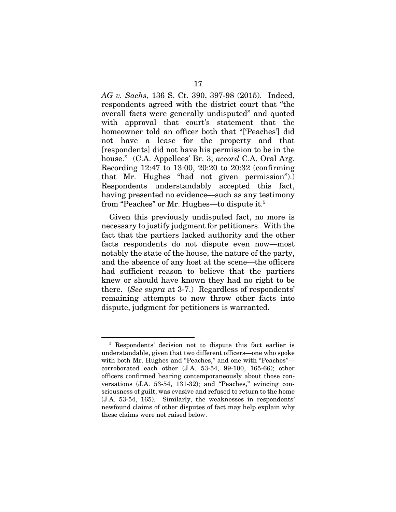*AG v. Sachs*, 136 S. Ct. 390, 397-98 (2015). Indeed, respondents agreed with the district court that "the overall facts were generally undisputed" and quoted with approval that court's statement that the homeowner told an officer both that "['Peaches'] did not have a lease for the property and that [respondents] did not have his permission to be in the house." (C.A. Appellees' Br. 3; *accord* C.A. Oral Arg. Recording 12:47 to 13:00, 20:20 to 20:32 (confirming that Mr. Hughes "had not given permission").) Respondents understandably accepted this fact, having presented no evidence—such as any testimony from "Peaches" or Mr. Hughes—to dispute it.5

Given this previously undisputed fact, no more is necessary to justify judgment for petitioners. With the fact that the partiers lacked authority and the other facts respondents do not dispute even now—most notably the state of the house, the nature of the party, and the absence of any host at the scene—the officers had sufficient reason to believe that the partiers knew or should have known they had no right to be there. (*See supra* at 3-7.) Regardless of respondents' remaining attempts to now throw other facts into dispute, judgment for petitioners is warranted.

<sup>5</sup> Respondents' decision not to dispute this fact earlier is understandable, given that two different officers—one who spoke with both Mr. Hughes and "Peaches," and one with "Peaches" corroborated each other (J.A. 53-54, 99-100, 165-66); other officers confirmed hearing contemporaneously about those conversations (J.A. 53-54, 131-32); and "Peaches," evincing consciousness of guilt, was evasive and refused to return to the home (J.A. 53-54, 165). Similarly, the weaknesses in respondents' newfound claims of other disputes of fact may help explain why these claims were not raised below.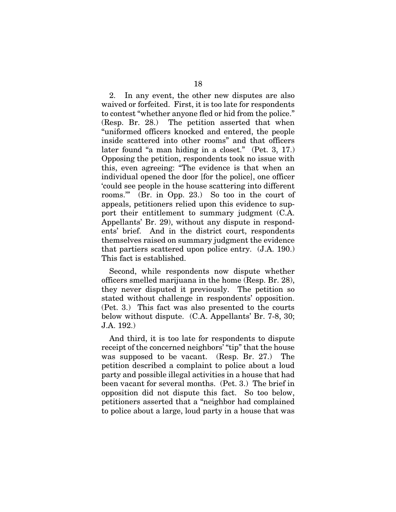2. In any event, the other new disputes are also waived or forfeited. First, it is too late for respondents to contest "whether anyone fled or hid from the police." (Resp. Br. 28.) The petition asserted that when "uniformed officers knocked and entered, the people inside scattered into other rooms" and that officers later found "a man hiding in a closet." (Pet. 3, 17.) Opposing the petition, respondents took no issue with this, even agreeing: "The evidence is that when an individual opened the door [for the police], one officer 'could see people in the house scattering into different rooms.'" (Br. in Opp. 23.) So too in the court of appeals, petitioners relied upon this evidence to support their entitlement to summary judgment (C.A. Appellants' Br. 29), without any dispute in respondents' brief. And in the district court, respondents themselves raised on summary judgment the evidence that partiers scattered upon police entry. (J.A. 190.) This fact is established.

Second, while respondents now dispute whether officers smelled marijuana in the home (Resp. Br. 28), they never disputed it previously. The petition so stated without challenge in respondents' opposition. (Pet. 3.) This fact was also presented to the courts below without dispute. (C.A. Appellants' Br. 7-8, 30; J.A. 192.)

And third, it is too late for respondents to dispute receipt of the concerned neighbors' "tip" that the house was supposed to be vacant. (Resp. Br. 27.) The petition described a complaint to police about a loud party and possible illegal activities in a house that had been vacant for several months. (Pet. 3.) The brief in opposition did not dispute this fact. So too below, petitioners asserted that a "neighbor had complained to police about a large, loud party in a house that was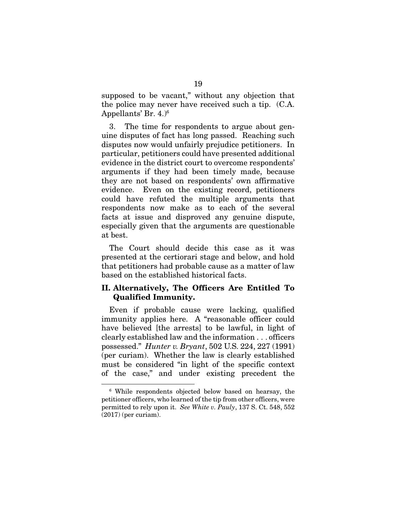supposed to be vacant," without any objection that the police may never have received such a tip. (C.A. Appellants' Br.  $4.$ <sup>6</sup>

3. The time for respondents to argue about genuine disputes of fact has long passed. Reaching such disputes now would unfairly prejudice petitioners. In particular, petitioners could have presented additional evidence in the district court to overcome respondents' arguments if they had been timely made, because they are not based on respondents' own affirmative evidence. Even on the existing record, petitioners could have refuted the multiple arguments that respondents now make as to each of the several facts at issue and disproved any genuine dispute, especially given that the arguments are questionable at best.

The Court should decide this case as it was presented at the certiorari stage and below, and hold that petitioners had probable cause as a matter of law based on the established historical facts.

# II. Alternatively, The Officers Are Entitled To Qualified Immunity.

Even if probable cause were lacking, qualified immunity applies here. A "reasonable officer could have believed [the arrests] to be lawful, in light of clearly established law and the information . . . officers possessed." *Hunter v. Bryant*, 502 U.S. 224, 227 (1991) (per curiam). Whether the law is clearly established must be considered "in light of the specific context of the case," and under existing precedent the

<sup>6</sup> While respondents objected below based on hearsay, the petitioner officers, who learned of the tip from other officers, were permitted to rely upon it. *See White v. Pauly*, 137 S. Ct. 548, 552 (2017) (per curiam).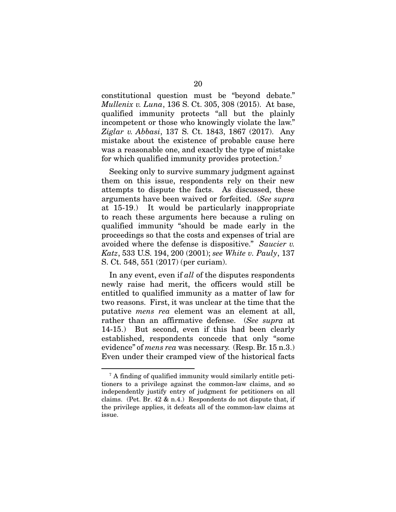constitutional question must be "beyond debate." *Mullenix v. Luna*, 136 S. Ct. 305, 308 (2015). At base, qualified immunity protects "all but the plainly incompetent or those who knowingly violate the law." *Ziglar v. Abbasi*, 137 S. Ct. 1843, 1867 (2017). Any mistake about the existence of probable cause here was a reasonable one, and exactly the type of mistake for which qualified immunity provides protection.<sup>7</sup>

Seeking only to survive summary judgment against them on this issue, respondents rely on their new attempts to dispute the facts. As discussed, these arguments have been waived or forfeited. (*See supra* at 15-19.) It would be particularly inappropriate to reach these arguments here because a ruling on qualified immunity "should be made early in the proceedings so that the costs and expenses of trial are avoided where the defense is dispositive." *Saucier v. Katz*, 533 U.S. 194, 200 (2001); *see White v. Pauly*, 137 S. Ct. 548, 551 (2017) (per curiam).

In any event, even if *all* of the disputes respondents newly raise had merit, the officers would still be entitled to qualified immunity as a matter of law for two reasons. First, it was unclear at the time that the putative *mens rea* element was an element at all, rather than an affirmative defense. (*See supra* at 14-15.) But second, even if this had been clearly established, respondents concede that only "some evidence" of *mens rea* was necessary. (Resp. Br. 15 n.3.) Even under their cramped view of the historical facts

<sup>7</sup> A finding of qualified immunity would similarly entitle petitioners to a privilege against the common-law claims, and so independently justify entry of judgment for petitioners on all claims. (Pet. Br. 42  $\&$  n.4.) Respondents do not dispute that, if the privilege applies, it defeats all of the common-law claims at issue.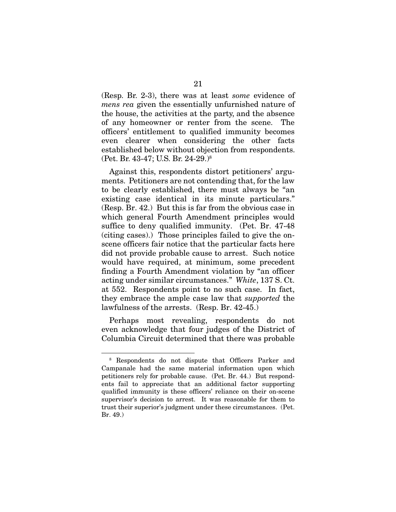(Resp. Br. 2-3), there was at least *some* evidence of *mens rea* given the essentially unfurnished nature of the house, the activities at the party, and the absence of any homeowner or renter from the scene. The officers' entitlement to qualified immunity becomes even clearer when considering the other facts established below without objection from respondents. (Pet. Br. 43-47; U.S. Br. 24-29.)8

Against this, respondents distort petitioners' arguments. Petitioners are not contending that, for the law to be clearly established, there must always be "an existing case identical in its minute particulars." (Resp. Br. 42.) But this is far from the obvious case in which general Fourth Amendment principles would suffice to deny qualified immunity. (Pet. Br. 47-48 (citing cases).) Those principles failed to give the onscene officers fair notice that the particular facts here did not provide probable cause to arrest. Such notice would have required, at minimum, some precedent finding a Fourth Amendment violation by "an officer acting under similar circumstances." *White*, 137 S. Ct. at 552. Respondents point to no such case. In fact, they embrace the ample case law that *supported* the lawfulness of the arrests. (Resp. Br. 42-45.)

Perhaps most revealing, respondents do not even acknowledge that four judges of the District of Columbia Circuit determined that there was probable

<sup>8</sup> Respondents do not dispute that Officers Parker and Campanale had the same material information upon which petitioners rely for probable cause. (Pet. Br. 44.) But respondents fail to appreciate that an additional factor supporting qualified immunity is these officers' reliance on their on-scene supervisor's decision to arrest. It was reasonable for them to trust their superior's judgment under these circumstances. (Pet. Br. 49.)